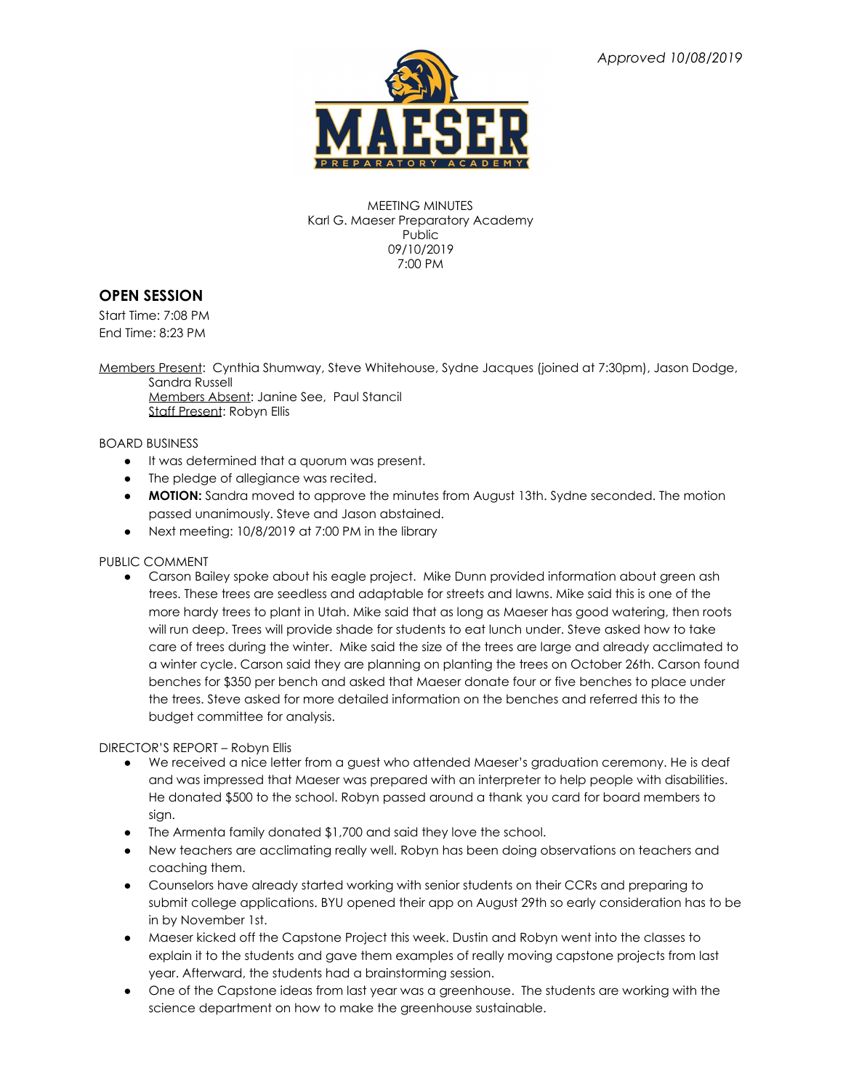

MEETING MINUTES Karl G. Maeser Preparatory Academy Public 09/10/2019 7:00 PM

# **OPEN SESSION**

Start Time: 7:08 PM End Time: 8:23 PM

Members Present: Cynthia Shumway, Steve Whitehouse, Sydne Jacques (joined at 7:30pm), Jason Dodge, Sandra Russell

Members Absent: Janine See, Paul Stancil Staff Present: Robyn Ellis

# BOARD BUSINESS

- It was determined that a quorum was present.
- The pledge of allegiance was recited.
- **MOTION:** Sandra moved to approve the minutes from August 13th. Sydne seconded. The motion passed unanimously. Steve and Jason abstained.
- Next meeting: 10/8/2019 at 7:00 PM in the library

# PUBLIC COMMENT

• Carson Bailey spoke about his eagle project. Mike Dunn provided information about green ash trees. These trees are seedless and adaptable for streets and lawns. Mike said this is one of the more hardy trees to plant in Utah. Mike said that as long as Maeser has good watering, then roots will run deep. Trees will provide shade for students to eat lunch under. Steve asked how to take care of trees during the winter. Mike said the size of the trees are large and already acclimated to a winter cycle. Carson said they are planning on planting the trees on October 26th. Carson found benches for \$350 per bench and asked that Maeser donate four or five benches to place under the trees. Steve asked for more detailed information on the benches and referred this to the budget committee for analysis.

DIRECTOR'S REPORT – Robyn Ellis

- We received a nice letter from a guest who attended Maeser's graduation ceremony. He is deaf and was impressed that Maeser was prepared with an interpreter to help people with disabilities. He donated \$500 to the school. Robyn passed around a thank you card for board members to sign.
- The Armenta family donated \$1,700 and said they love the school.
- New teachers are acclimating really well. Robyn has been doing observations on teachers and coaching them.
- Counselors have already started working with senior students on their CCRs and preparing to submit college applications. BYU opened their app on August 29th so early consideration has to be in by November 1st.
- Maeser kicked off the Capstone Project this week. Dustin and Robyn went into the classes to explain it to the students and gave them examples of really moving capstone projects from last year. Afterward, the students had a brainstorming session.
- One of the Capstone ideas from last year was a greenhouse. The students are working with the science department on how to make the greenhouse sustainable.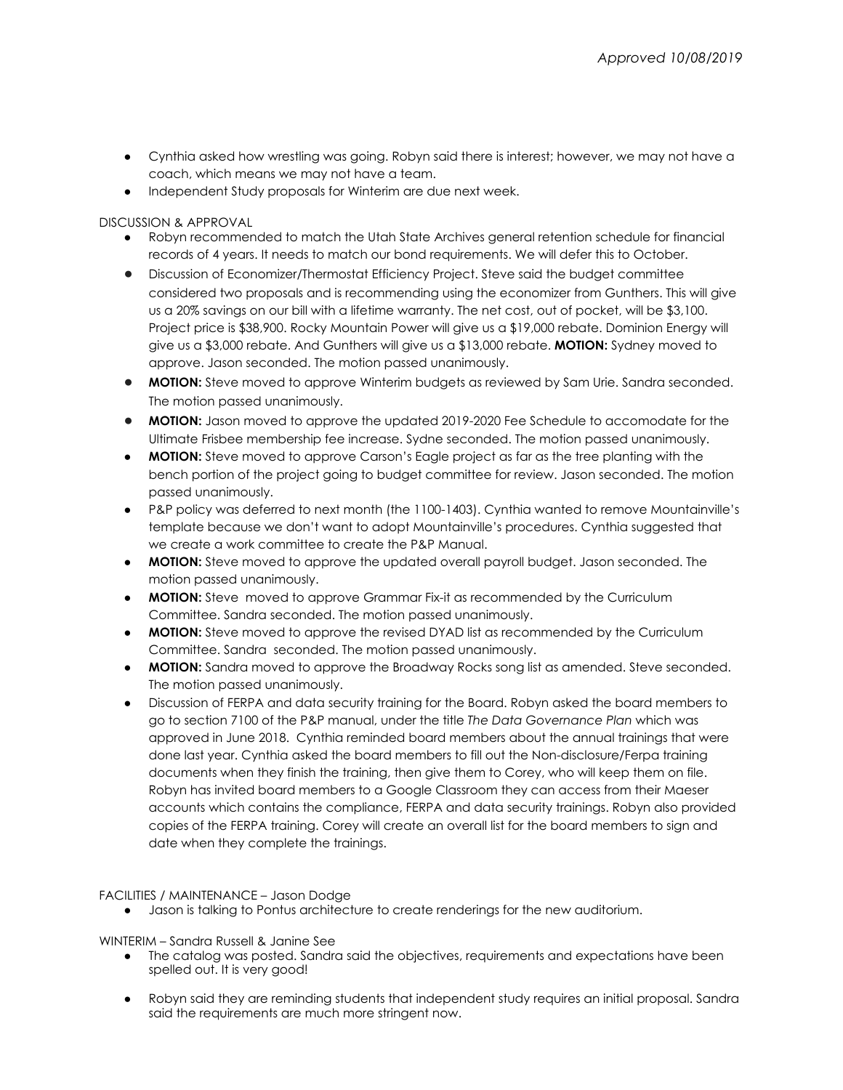- Cynthia asked how wrestling was going. Robyn said there is interest; however, we may not have a coach, which means we may not have a team.
- Independent Study proposals for Winterim are due next week.

# DISCUSSION & APPROVAL

- Robyn recommended to match the Utah State Archives general retention schedule for financial records of 4 years. It needs to match our bond requirements. We will defer this to October.
- Discussion of Economizer/Thermostat Efficiency Project. Steve said the budget committee considered two proposals and is recommending using the economizer from Gunthers. This will give us a 20% savings on our bill with a lifetime warranty. The net cost, out of pocket, will be \$3,100. Project price is \$38,900. Rocky Mountain Power will give us a \$19,000 rebate. Dominion Energy will give us a \$3,000 rebate. And Gunthers will give us a \$13,000 rebate. **MOTION:** Sydney moved to approve. Jason seconded. The motion passed unanimously.
- **MOTION:** Steve moved to approve Winterim budgets as reviewed by Sam Urie. Sandra seconded. The motion passed unanimously.
- **MOTION:** Jason moved to approve the updated 2019-2020 Fee Schedule to accomodate for the Ultimate Frisbee membership fee increase. Sydne seconded. The motion passed unanimously.
- **MOTION:** Steve moved to approve Carson's Eagle project as far as the tree planting with the bench portion of the project going to budget committee for review. Jason seconded. The motion passed unanimously.
- P&P policy was deferred to next month (the 1100-1403). Cynthia wanted to remove Mountainville's template because we don't want to adopt Mountainville's procedures. Cynthia suggested that we create a work committee to create the P&P Manual.
- **MOTION:** Steve moved to approve the updated overall payroll budget. Jason seconded. The motion passed unanimously.
- **MOTION:** Steve moved to approve Grammar Fix-it as recommended by the Curriculum Committee. Sandra seconded. The motion passed unanimously.
- **MOTION:** Steve moved to approve the revised DYAD list as recommended by the Curriculum Committee. Sandra seconded. The motion passed unanimously.
- **MOTION:** Sandra moved to approve the Broadway Rocks song list as amended. Steve seconded. The motion passed unanimously.
- Discussion of FERPA and data security training for the Board. Robyn asked the board members to go to section 7100 of the P&P manual, under the title *The Data Governance Plan* which was approved in June 2018. Cynthia reminded board members about the annual trainings that were done last year. Cynthia asked the board members to fill out the Non-disclosure/Ferpa training documents when they finish the training, then give them to Corey, who will keep them on file. Robyn has invited board members to a Google Classroom they can access from their Maeser accounts which contains the compliance, FERPA and data security trainings. Robyn also provided copies of the FERPA training. Corey will create an overall list for the board members to sign and date when they complete the trainings.

# FACILITIES / MAINTENANCE – Jason Dodge

● Jason is talking to Pontus architecture to create renderings for the new auditorium.

# WINTERIM – Sandra Russell & Janine See

- The catalog was posted. Sandra said the objectives, requirements and expectations have been spelled out. It is very good!
- Robyn said they are reminding students that independent study requires an initial proposal. Sandra said the requirements are much more stringent now.